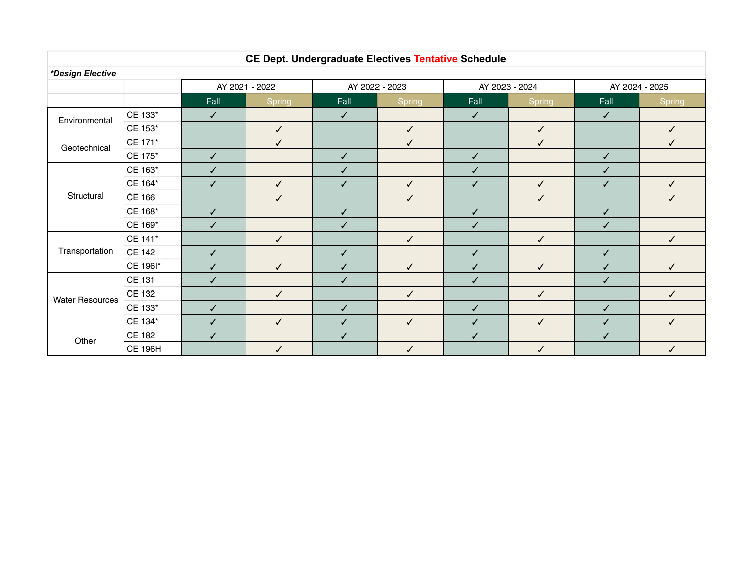## **CE Dept. Undergraduate Electives Tentative Schedule**

## *\*Design Elective*

|                        |                | AY 2021 - 2022 |              | AY 2022 - 2023 |               | AY 2023 - 2024 |              | AY 2024 - 2025 |              |
|------------------------|----------------|----------------|--------------|----------------|---------------|----------------|--------------|----------------|--------------|
|                        |                | Fall           | Spring       | Fall           | <b>Spring</b> | Fall           | Spring       | Fall           | Spring       |
| Environmental          | CE 133*        | $\checkmark$   |              | $\checkmark$   |               | $\checkmark$   |              | $\checkmark$   |              |
|                        | CE 153*        |                | ✓            |                | ✓             |                | ✓            |                |              |
| Geotechnical           | CE 171*        |                | ✓            |                | ✓             |                | ✓            |                |              |
|                        | CE 175*        | $\checkmark$   |              | $\checkmark$   |               | $\checkmark$   |              | ✓              |              |
| Structural             | CE 163*        | $\checkmark$   |              | ℐ              |               | ✓              |              | ✓              |              |
|                        | CE 164*        | $\checkmark$   | ✓            | $\checkmark$   | ✓             | ✓              | ✓            | J              | ℐ            |
|                        | CE 166         |                | $\checkmark$ |                | ✓             |                | $\checkmark$ |                | ✓            |
|                        | CE 168*        | $\checkmark$   |              | $\checkmark$   |               | $\checkmark$   |              | $\sqrt{2}$     |              |
|                        | CE 169*        | $\checkmark$   |              | $\checkmark$   |               | ✓              |              | ✓              |              |
| Transportation         | CE 141*        |                | ✓            |                | ✓             |                | ✓            |                | ✓            |
|                        | CE 142         | $\checkmark$   |              | $\checkmark$   |               | $\checkmark$   |              | ✓              |              |
|                        | CE 1961*       | $\checkmark$   | ✓            | $\checkmark$   | ✓             | ✓              | $\checkmark$ | ✓              | ✓            |
| <b>Water Resources</b> | <b>CE 131</b>  | $\checkmark$   |              | $\checkmark$   |               | ✓              |              | ✓              |              |
|                        | CE 132         |                | $\checkmark$ |                | $\checkmark$  |                | $\checkmark$ |                | $\checkmark$ |
|                        | CE 133*        | $\checkmark$   |              | $\checkmark$   |               | ✓              |              | ✓              |              |
|                        | CE 134*        | $\checkmark$   | ✓            | $\checkmark$   | ✓             | ✓              | ✓            | ✓              | ✓            |
| Other                  | <b>CE 182</b>  | $\checkmark$   |              | $\checkmark$   |               | $\checkmark$   |              | $\checkmark$   |              |
|                        | <b>CE 196H</b> |                | ✓            |                | ✓             |                | ✓            |                |              |